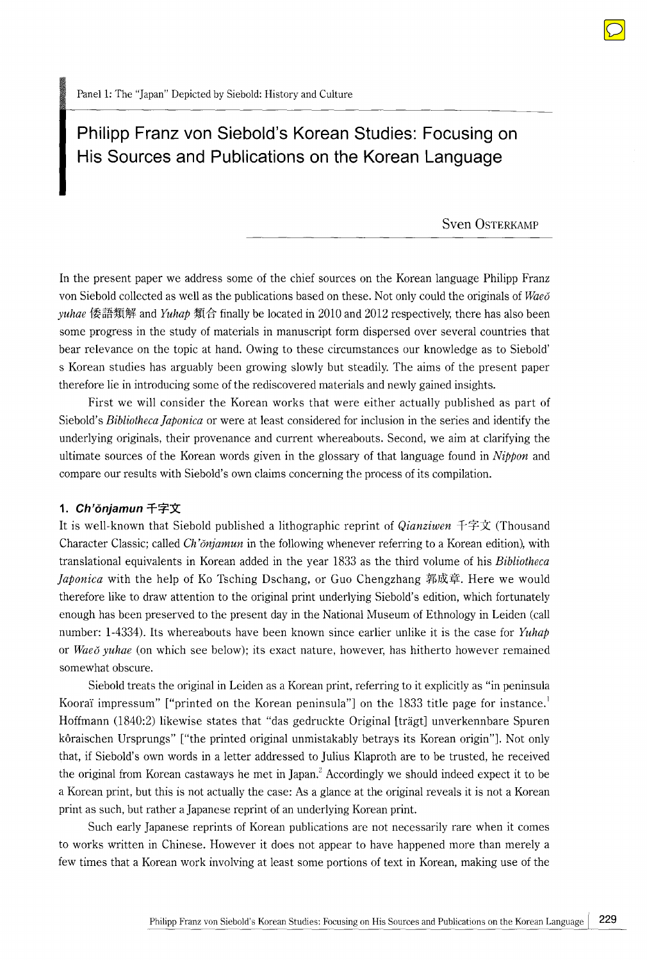# **Philipp Franz von Siebold's Korean Studies: Focusing on His Sources and Publications on the Korean Language**

Sven OsTERKAMP

In the present paper we address some of the chief sources on the Korean language Philipp Franz von Siebold collected as well as the publications based on these. Not only could the originals of *Wae6 yuhae* 倭語類解 and *Yuhap* 類合 finally be located in 2010 and 2012 respectively, there has also been some progress in the study of materials in manuscript form dispersed over several countries that bear relevance on the topic at hand. Owing to these circumstances our knowledge as to Siebold' s Korean studies has arguably been growing slowly but steadily. The aims of the present paper therefore lie in introducing some of the rediscovered materials and newly gained insights.

First we will consider the Korean works that were either actually published as part of Siebold's *Bibliotheca ]aponica* or were at least considered for inclusion in the series and identify the underlying originals, their provenance and current whereabouts. Second, we aim at clarifying the ultimate sources of the Korean words given in the glossary of that language found in *Nippon* and compare our results with Siebold's own claims concerning the process of its compilation.

#### 1. Ch'ŏnjamun 千字文

It is well-known that Siebold published a lithographic reprint of *Qianziwen* 千字文 (Thousand Character Classic; called *Ch '6njamun* in the following whenever referring to a Korean edition), with translational equivalents in Korean added in the year 1833 as the third volume of his *Bibliotheca Japonica* with the help of Ko Tsching Dschang, or Guo Chengzhang 郭成章. Here we would therefore like to draw attention to the original print underlying Siebold's edition, which fortunately enough has been preserved to the present day in the National Museum of Ethnology in Leiden (call number: 1-4334). Its whereabouts have been known since earlier unlike it is the case for *Yuhap*  or *Wae6 yuhae* (on which see below); its exact nature, however, has hitherto however remained somewhat obscure.

Siebold treats the original in Leiden as a Korean print, referring to it explicitly as "in peninsula Kooraï impressum" ["printed on the Korean peninsula"] on the 1833 title page for instance. Hoffmann (1840:2) likewise states that "das gedruckte Original [tragt] unverkennbare Spuren koraischen Ursprungs" ["the printed original unmistakably betrays its Korean origin"]. Not only that, if Siebold's own words in a letter addressed to Julius Klaproth are to be trusted, he received the original from Korean castaways he met in Japan.<sup>2</sup> Accordingly we should indeed expect it to be a Korean print, but this is not actually the case: As a glance at the original reveals it is not a Korean print as such, but rather a Japanese reprint of an underlying Korean print.

Such early Japanese reprints of Korean publications are not necessarily rare when it comes to works written in Chinese. However it does not appear to have happened more than merely a few times that a Korean work involving at least some portions of text in Korean, making use of the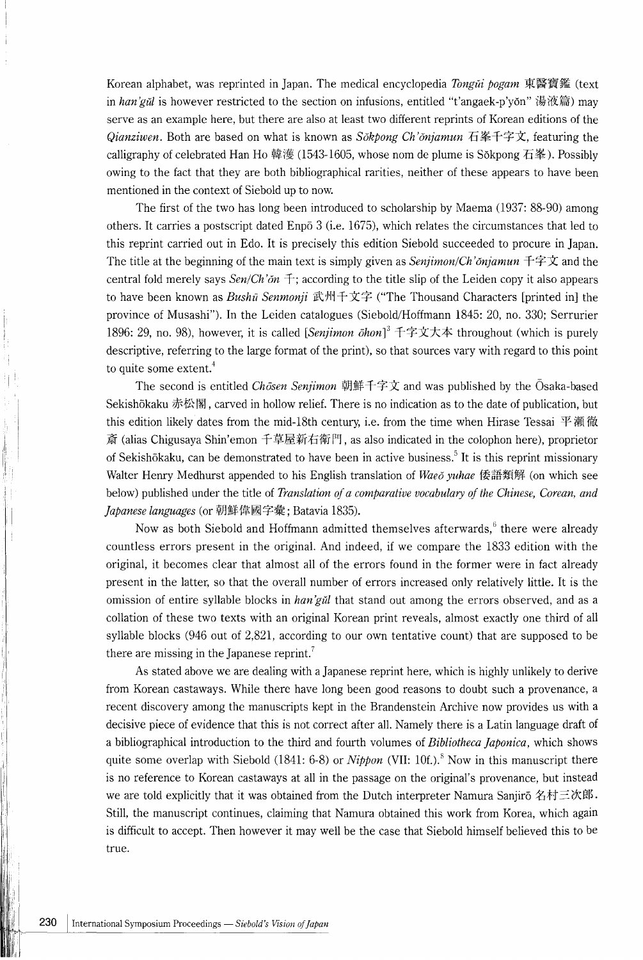Korean alphabet, was reprinted in Japan. The medical encyclopedia *Tongǔi bogam* 東醫寶鑑 (text in *han'gŭl* is however restricted to the section on infusions, entitled "t'angaek-p'yŏn" 湯液篇) may serve as an example here, but there are also at least two different reprints of Korean editions of the *Qianziwen.* Both are based on what is known as *Sokpong Ch'onjamun* 石峯千字文, featuring the calligraphy of celebrated Han Ho 韓濩 (1543-1605, whose nom de plume is Sŏkpong 石峯). Possibly owing to the fact that they are both bibliographical rarities, neither of these appears to have been mentioned in the context of Siebold up to now.

The first of the two has long been introduced to scholarship by Maema (1937: 88-90) among others. It carries a postscript dated Enp6 3 (i.e. 1675), which relates the circumstances that led to this reprint carried out in Edo. It is precisely this edition Siebold succeeded to procure in Japan. The title at the beginning of the main text is simply given as *Senjimon/Ch'onjamun*  $\pm \neq \pm \infty$  and the central fold merely says  $\frac{Sen}{Ch}$  on  $\pm$ ; according to the title slip of the Leiden copy it also appears to have been known as *Bushū Senmonji* 武州千文字 ("The Thousand Characters [printed in] the province of Musashi"). In the Leiden catalogues (Siebold/Hoffmann 1845: 20, no. 330; Serrurier 1896: 29, no. 98), however, it is called [Senjimon ōhon]<sup>3</sup> 千字文大本 throughout (which is purely descriptive, referring to the large format of the print), so that sources vary with regard to this point to quite some extent.<sup>4</sup>

The second is entitled *Chosen Senjimon* 朝鮮千字文 and was published by the Osaka-based Sekishōkaku 赤松閣, carved in hollow relief. There is no indication as to the date of publication, but this edition likely dates from the mid-18th century, i.e. from the time when Hirase Tessai 平瀨徹 斎 (alias Chigusaya Shin' emon 千草屋新右衛門, as also indicated in the colophon here), proprietor of Sekishōkaku, can be demonstrated to have been in active business.<sup>5</sup> It is this reprint missionary Walter Henry Medhurst appended to his English translation of *Waeo yuhae* 倭語類解 (on which see below) published under the title of *Translation of a comparative vocabulary of the Chinese, Corean, and Japanese languages* (or 朝鮮偉國字彙; Batavia 1835).

Now as both Siebold and Hoffmann admitted themselves afterwards,<sup>6</sup> there were already countless errors present in the original. And indeed, if we compare the 1833 edition with the original, it becomes clear that almost all of the errors found in the former were in fact already present in the latter, so that the overall number of errors increased only relatively little. It is the omission of entire syllable blocks in *han 'gul* that stand out among the errors observed, and as a collation of these two texts with an original Korean print reveals, almost exactly one third of all syllable blocks (946 out of 2,821, according to our own tentative count) that are supposed to be there are missing in the Japanese reprint.<sup>7</sup>

As stated above we are dealing with a Japanese reprint here, which is highly unlikely to derive from Korean castaways. While there have long been good reasons to doubt such a provenance, a recent discovery among the manuscripts kept in the Brandenstein Archive now provides us with a decisive piece of evidence that this is not correct after all. Namely there is a Latin language draft of a bibliographical introduction to the third and fourth volumes of *Bibliotheca ]aponica,* which shows quite some overlap with Siebold (1841: 6-8) or *Nippon* (VII: 10f.).<sup>8</sup> Now in this manuscript there is no reference to Korean castaways at all in the passage on the original's provenance, but instead we are told explicitly that it was obtained from the Dutch interpreter Namura Sanjiro  $A\#E\mathcal{K}$ . Still, the manuscript continues, claiming that Namura obtained this work from Korea, which again is difficult to accept. Then however it may well be the case that Siebold himself believed this to be true.

I'

I I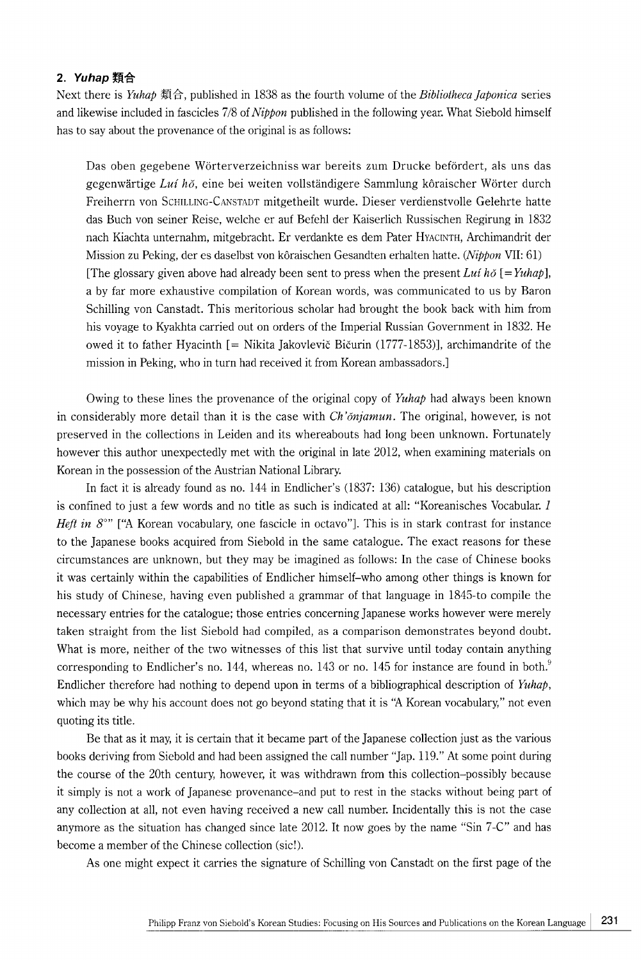### 2. Yuhap 類合

Next there is *Yuhap* 類合, published in 1838 as the fourth volume of the *Bibliotheca Japonica* series and likewise included in fascicles 7/8 of *Nippon* published in the following year. What Siebold himself has to say about the provenance of the original is as follows:

Das oben gegebene Wörterverzeichniss war bereits zum Drucke befördert, als uns das gegenwärtige *Lui hŏ*, eine bei weiten vollständigere Sammlung kôraischer Wörter durch Freiherrn von ScHILLING-CANSTADT mitgetheilt wurde. Dieser verdienstvolle Gelehrte hatte das Buch von seiner Reise, welche er auf Befehl der Kaiserlich Russischen Regirung in 1832 nach Kiachta unternahm, mitgebracht. Er verdankte es dem Pater HYACINTH, Archimandrit der Mission zu Peking, der es daselbst von k6raischen Gesandten erhalten hatte. *(Nippon* VII: 61) [The glossary given above had already been sent to press when the present *Lui ho*  $[=Yuhap]$ , a by far more exhaustive compilation of Korean words, was communicated to us by Baron Schilling von Canstadt. This meritorious scholar had brought the book back with him from his voyage to Kyakhta carried out on orders of the Imperial Russian Government in 1832. He owed it to father Hyacinth [ = Nikita Jakovlevic Bicurin (1777-1853)], archimandrite of the mission in Peking, who in turn had received it from Korean ambassadors.]

Owing to these lines the provenance of the original copy of *Yuhap* had always been known in considerably more detail than it is the case with *Ch 'onjamun.* The original, however, is not preserved in the collections in Leiden and its whereabouts had long been unknown. Fortunately however this author unexpectedly met with the original in late 2012, when examining materials on Korean in the possession of the Austrian National Library.

In fact it is already found as no. 144 in Endlicher's (1837: 136) catalogue, but his description is confined to just a few words and no title as such is indicated at all: "Koreanisches Vocabular. 1 *Heft in 8<sup>o</sup>"* ["A Korean vocabulary, one fascicle in octavo"]. This is in stark contrast for instance to the Japanese books acquired from Siebold in the same catalogue. The exact reasons for these circumstances are unknown, but they may be imagined as follows: In the case of Chinese books it was certainly within the capabilities of Endlicher himself-who among other things is known for his study of Chinese, having even published a grammar of that language in 1845-to compile the necessary entries for the catalogue; those entries concerning Japanese works however were merely taken straight from the list Siebold had compiled, as a comparison demonstrates beyond doubt. What is more, neither of the two witnesses of this list that survive until today contain anything corresponding to Endlicher's no. 144, whereas no. 143 or no. 145 for instance are found in both. $\degree$ Endlicher therefore had nothing to depend upon in terms of a bibliographical description of *Yuhap,*  which may be why his account does not go beyond stating that it is "A Korean vocabulary," not even quoting its title.

Be that as it may, it is certain that it became part of the Japanese collection just as the various books deriving from Siebold and had been assigned the call number "Jap. 119." At some point during the course of the 20th century, however, it was withdrawn from this collection-possibly because it simply is not a work of Japanese provenance-and put to rest in the stacks without being part of any collection at all, not even having received a new call number. Incidentally this is not the case anymore as the situation has changed since late 2012. It now goes by the name "Sin 7-C" and has become a member of the Chinese collection (sic!).

As one might expect it carries the signature of Schilling von Canstadt on the first page of the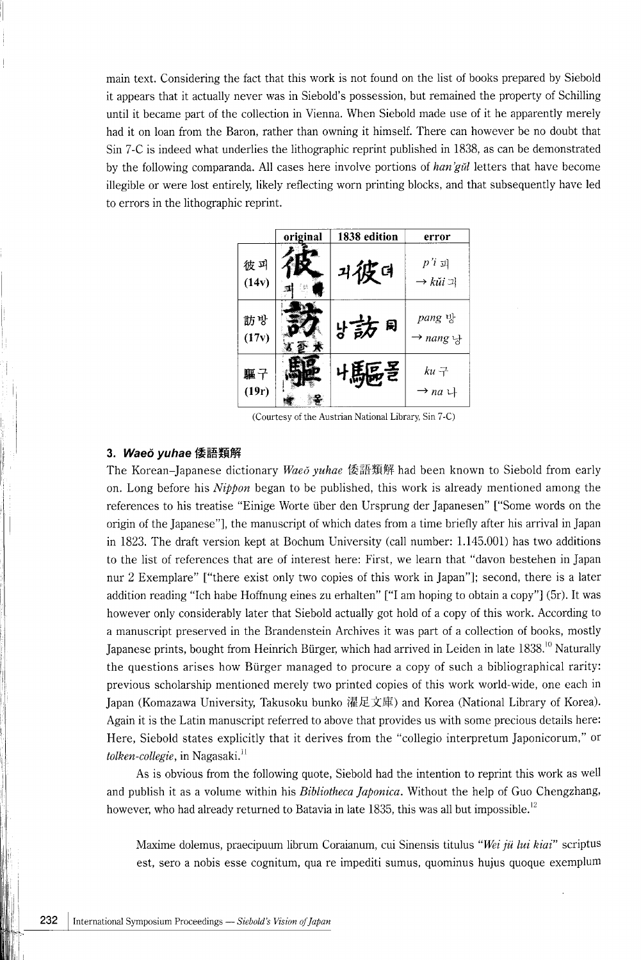main text. Considering the fact that this work is not found on the list of books prepared by Siebold it appears that it actually never was in Siebold's possession, but remained the property of Schilling until it became part of the collection in Vienna. When Siebold made use of it he apparently merely had it on loan from the Baron, rather than owning it himself. There can however be no doubt that Sin 7 -C is indeed what underlies the lithographic reprint published in 1838, as can be demonstrated by the following comparanda. All cases here involve portions of *han 'gul* letters that have become illegible or were lost entirely, likely reflecting worn printing blocks, and that subsequently have led to errors in the lithographic reprint.

|                                                      | original | 1838 edition | error                                                  |  |  |
|------------------------------------------------------|----------|--------------|--------------------------------------------------------|--|--|
| 彼피<br>(14v)                                          |          | 기役더          | $p'i$ 괴<br>$\rightarrow k \check{u} i \dot{\lrcorner}$ |  |  |
| 訪방<br>(17v)                                          |          | bi訪 刷        | pang 방<br>$\rightarrow$ nang $\downarrow$              |  |  |
| 驅子<br>(19r)                                          |          | 읎줃           | $ku +$<br>$\rightarrow$ na $\downarrow$                |  |  |
| (Courtesy of the Austrian National Library, Sin 7-C) |          |              |                                                        |  |  |

# 3. Waeo yuhae 倭語類解

The Korean-Japanese dictionary *Waeo yuhae* 倭語類解 had been known to Siebold from early on. Long before his *Nippon* began to be published, this work is already mentioned among the references to his treatise "Einige Worte uber den Ursprung der Japanesen" ["Some words on the origin of the Japanese"], the manuscript of which dates from a time briefly after his arrival in Japan in 1823. The draft version kept at Bochum University (call number: 1.145.001) has two additions to the list of references that are of interest here: First, we learn that "davon bestehen in Japan nur 2 Exemplare" ["there exist only two copies of this work in Japan"]; second, there is a later addition reading "Ich habe Hoffnung eines zu erhalten" ["I am hoping to obtain a copy"] (5r). It was however only considerably later that Siebold actually got hold of a copy of this work. According to a manuscript preserved in the Brandenstein Archives it was part of a collection of books, mostly Japanese prints, bought from Heinrich Bürger, which had arrived in Leiden in late 1838.<sup>10</sup> Naturally the questions arises how Burger managed to procure a copy of such a bibliographical rarity: previous scholarship mentioned merely two printed copies of this work world-wide, one each in Japan (Komazawa University, Takusoku bunko 濯足文庫) and Korea (National Library of Korea). Again it is the Latin manuscript referred to above that provides us with some precious details here: Here, Siebold states explicitly that it derives from the "collegio interpretum Japonicorum," or *tolken-collegie*, in Nagasaki.<sup>11</sup>

As is obvious from the following quote, Siebold had the intention to reprint this work as well and publish it as a volume within his *Bibliotheca ]aponica.* Without the help of Guo Chengzhang, however, who had already returned to Batavia in late 1835, this was all but impossible.<sup>12</sup>

Maxime dolemus, praecipuum librum Coraianum, cui Sinensis titulus *"Wei jii lui kiai"* scriptus est, sero a nobis esse cognitum, qua re impediti sumus, quominus hujus quoque exemplum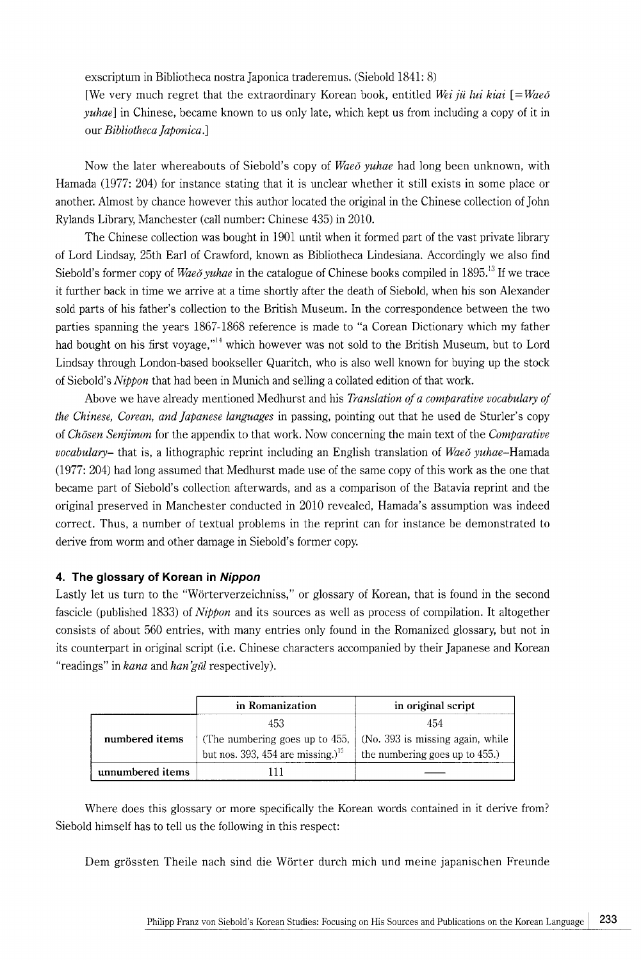exscriptum in Bibliotheca nostra Japonica traderemus. (Siebold 1841: 8)

[We very much regret that the extraordinary Korean book, entitled *Wei ju lui kiai* [=*Waeo*] *yuhae*] in Chinese, became known to us only late, which kept us from including a copy of it in our *Bibliotheca faponica.]* 

Now the later whereabouts of Siebold's copy of *Wae6 yuhae* had long been unknown, with Hamada (1977: 204) for instance stating that it is unclear whether it still exists in some place or another. Almost by chance however this author located the original in the Chinese collection of John Rylands Library, Manchester (call number: Chinese 435) in 2010.

The Chinese collection was bought in 1901 until when it formed part of the vast private library of Lord Lindsay, 25th Earl of Crawford, known as Bibliotheca Lindesiana. Accordingly we also find Siebold's former copy of *Waeŏ yuhae* in the catalogue of Chinese books compiled in 1895.<sup>13</sup> If we trace it further back in time we arrive at a time shortly after the death of Siebold, when his son Alexander sold parts of his father's collection to the British Museum. In the correspondence between the two parties spanning the years 1867-1868 reference is made to "a Corean Dictionary which my father had bought on his first voyage."<sup>14</sup> which however was not sold to the British Museum, but to Lord Lindsay through London-based bookseller Quaritch, who is also well known for buying up the stock of Siebold's *Nippon* that had been in Munich and selling a collated edition of that work.

Above we have already mentioned Medhurst and his *Translation of a comparative vocabulary of the Chinese, Corean, and Japanese languages* in passing, pointing out that he used de Sturler's copy of *Chosen Senjimon* for the appendix to that work. Now concerning the main text of the *Comparative vocabulary-* that is, a lithographic reprint including an English translation of *Wae6 yuhae-Hamada*  (1977: 204) had long assumed that Medhurst made use of the same copy of this work as the one that became part of Siebold's collection afterwards, and as a comparison of the Batavia reprint and the original preserved in Manchester conducted in 2010 revealed, Hamada's assumption was indeed correct. Thus, a number of textual problems in the reprint can for instance be demonstrated to derive from worm and other damage in Siebold's former copy.

# **4. The glossary of Korean in Nippon**

Lastly let us turn to the "Worterverzeichniss," or glossary of Korean, that is found in the second fascicle (published 1833) of *Nippon* and its sources as well as process of compilation. It altogether consists of about 560 entries, with many entries only found in the Romanized glossary, but not in its counterpart in original script (i.e. Chinese characters accompanied by their Japanese and Korean "readings" in *kana* and *han'gul* respectively).

|                  | in Romanization                               | in original script                                                      |
|------------------|-----------------------------------------------|-------------------------------------------------------------------------|
|                  | 453                                           | 454                                                                     |
| numbered items   |                                               | (The numbering goes up to 455, $\vert$ (No. 393 is missing again, while |
|                  | but nos. 393, 454 are missing.) <sup>15</sup> | the numbering goes up to 455.)                                          |
| unnumbered items |                                               |                                                                         |

Where does this glossary or more specifically the Korean words contained in it derive from? Siebold himself has to tell us the following in this respect:

Dem grössten Theile nach sind die Wörter durch mich und meine japanischen Freunde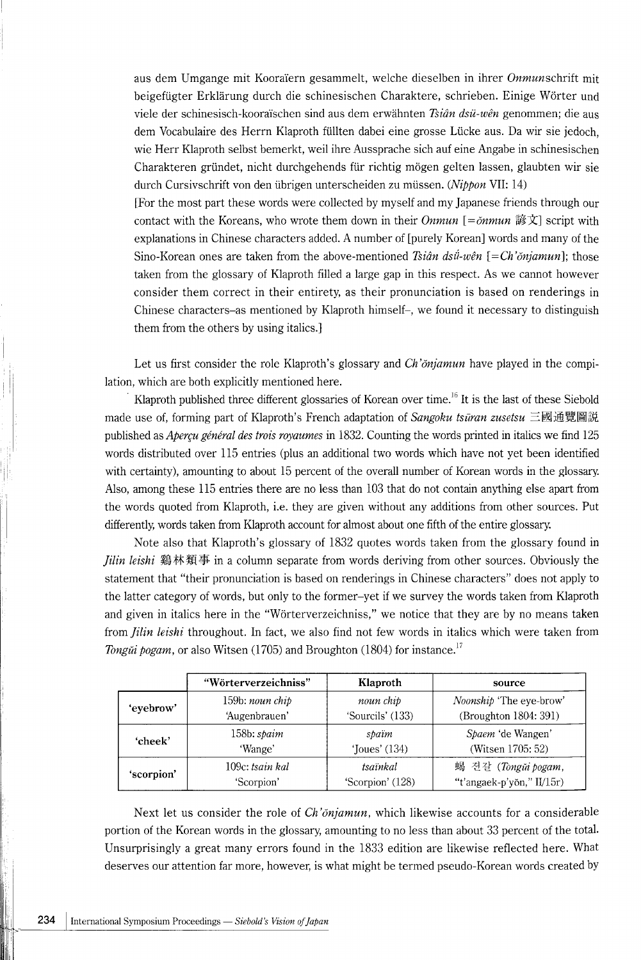aus dem Umgange mit Kooraïern gesammelt, welche dieselben in ihrer Onmunschrift mit beigefügter Erklärung durch die schinesischen Charaktere, schrieben. Einige Wörter und viele der schinesisch-kooraïschen sind aus dem erwähnten *Tsiân dsü-wên* genommen; die aus dem Vocabulaire des Herrn Klaproth füllten dabei eine grosse Lücke aus. Da wir sie jedoch, wie Herr Klaproth selbst bemerkt, weil ihre Aussprache sich auf eine Angabe in schinesischen Charakteren gründet, nicht durchgehends für richtig mögen gelten lassen, glaubten wir sie durch Cursivschrift von den übrigen unterscheiden zu müssen. *(Nippon VII: 14)* 

[For the most part these words were collected by myself and my Japanese friends through our contact with the Koreans, who wrote them down in their *Onmun* [= $\delta$ *nmun* 諺文] script with explanations in Chinese characters added. A number of [purely Korean] words and many of the Sino-Korean ones are taken from the above-mentioned *Tsian dsil-wen* [ *=Ch'onjamun];* those taken from the glossary of Klaproth filled a large gap in this respect. As we cannot however consider them correct in their entirety, as their pronunciation is based on renderings in Chinese characters-as mentioned by Klaproth himself-, we found it necessary to distinguish them from the others by using italics.]

Let us first consider the role Klaproth's glossary and *Ch 'onjamun* have played in the compilation, which are both explicitly mentioned here.

Klaproth published three different glossaries of Korean over time.<sup>16</sup> It is the last of these Siebold made use of, forming part of Klaproth's French adaptation of *Sangoku tsūran zusetsu* 三國通覽圖説 published as *Abercu général des trois royaumes* in 1832. Counting the words printed in italics we find 125 words distributed over 115 entries (plus an additional two words which have not yet been identified with certainty), amounting to about 15 percent of the overall number of Korean words in the glossary. Also, among these 115 entries there are no less than 103 that do not contain anything else apart from the words quoted from Klaproth, i.e. they are given without any additions from other sources. Put differently, words taken from Klaproth account for almost about one fifth of the entire glossary.

Note also that Klaproth's glossary of 1832 quotes words taken from the glossary found in *Jilin leishi* 鷄林類事 in a column separate from words deriving from other sources. Obviously the statement that "their pronunciation is based on renderings in Chinese characters" does not apply to the latter category of words, but only to the former-yet if we survey the words taken from Klaproth and given in italics here in the "Worterverzeichniss," we notice that they are by no means taken from *jilin leis hi* throughout. In fact, we also find not few words in italics which were taken from *Tongui pogam,* or also Witsen (1705) and Broughton (1804) for instance.<sup>17</sup>

|            | "Wörterverzeichniss"<br>Klaproth |                                 | source                         |  |
|------------|----------------------------------|---------------------------------|--------------------------------|--|
| 'evebrow'  | 159b: noun chip                  | noun chip                       | <i>Noonship</i> 'The eye-brow' |  |
|            | 'Augenbrauen'                    | 'Sourcils' (133)                | (Broughton 1804: 391)          |  |
| 'cheek'    | $158b:$ spaim                    | spaïm                           | Spaem 'de Wangen'              |  |
|            | 'Wange'                          | 'Joues' $(134)$                 | (Witsen 1705: 52)              |  |
| 'scorpion' | 109c: tsain kal                  | 蝎 견갈 (Tongǔi pogam,<br>tsaïnkal |                                |  |
|            | 'Scorpion'                       | 'Scorpion' (128)                | "t'angaek-p'yŏn," II/15r)      |  |

Next let us consider the role of *Ch 'onjamun,* which likewise accounts for a considerable portion of the Korean words in the glossary, amounting to no less than about 33 percent of the total. Unsurprisingly a great many errors found in the 1833 edition are likewise reflected here. What deserves our attention far more, however, is what might be termed pseudo-Korean words created by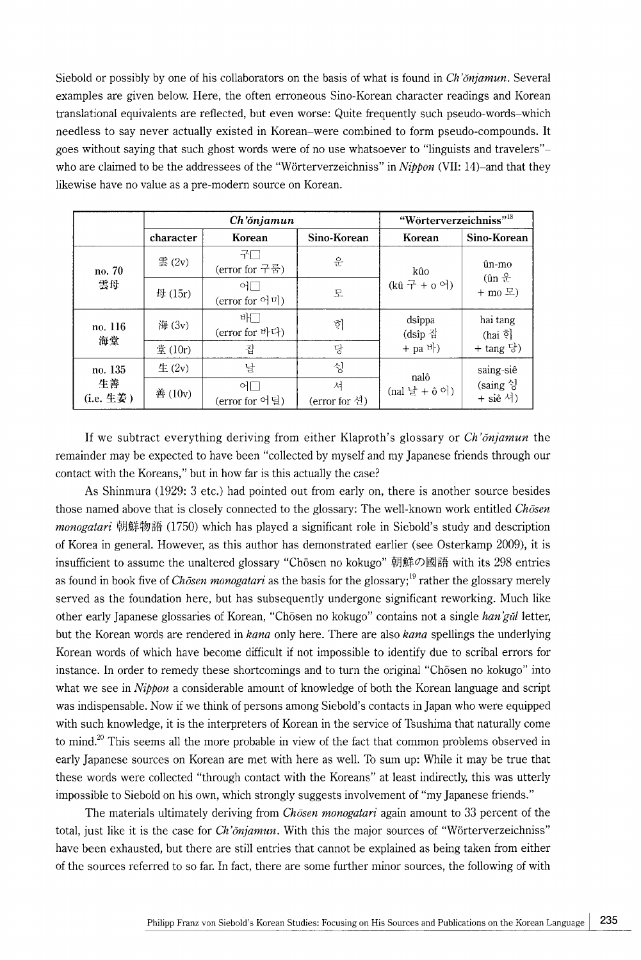Siebold or possibly by one of his collaborators on the basis of what is found in *Ch'onjamun.* Several examples are given below. Here, the often erroneous Sino-Korean character readings and Korean translational equivalents are reflected, but even worse: Quite frequently such pseudo-words-which needless to say never actually existed in Korean-were combined to form pseudo-compounds. It goes without saying that such ghost words were of no use whatsoever to "linguists and travelers" who are claimed to be the addressees of the "Worterverzeichniss" in *Nippon* (VII: 14)-and that they likewise have no value as a pre-modern source on Korean.

|                            | Ch'ŏnjamun        |                                                      |                    | "Wörterverzeichniss" <sup>18</sup> |                                                                          |
|----------------------------|-------------------|------------------------------------------------------|--------------------|------------------------------------|--------------------------------------------------------------------------|
|                            | character         | Korean                                               | Sino-Korean        | Korean                             | Sino-Korean                                                              |
| no. 70<br>雲母               | 雲 $(2v)$          | 구드<br>(error for 구룸)                                 | 운                  | kûo                                | ûn-mo<br>$(\hat{\mathbf{u}} \mathbf{n} \hat{\mathbf{\pm}})$<br>$+$ mo 모) |
|                            | $\boxplus$ (15r)  | $\circ$<br>$(\text{error for } \Theta   \mathbb{Z})$ | 모                  | $(k\hat{u} + 6\Theta)$             |                                                                          |
| no. 116<br>海堂              | 海 (3v)            | 바느<br>(error for 바다)                                 | 히                  | dsîppa<br>(dsîp 집                  | hai tang<br>(hai ই<br>+ tang 당)                                          |
|                            | 堂 (10r)           | 집                                                    | 당                  | $+$ pa <sup>b</sup> }              |                                                                          |
| no. 135<br>生善<br>(i.e. 生姜) | $\pm$ (2y)        | 날                                                    | 싱                  | nalô                               | saing-siê<br>$(s\text{aing} \, \text{S})$<br>+ siê 셔)                    |
|                            | $\check{E}$ (10v) | 이드<br>(error for 어딜)                                 | 셔<br>(error for 션) | (nal 날 + ô 어)                      |                                                                          |

If we subtract everything deriving from either Klaproth's glossary or *Ch 'onjamun* the remainder may be expected to have been "collected by myself and my Japanese friends through our contact with the Koreans," but in how far is this actually the case?

As Shinmura (1929: 3 etc.) had pointed out from early on, there is another source besides those named above that is closely connected to the glossary: The well-known work entitled *Chosen monogatari* 朝鮮物語 (1750) which has played a significant role in Siebold's study and description of Korea in general. However, as this author has demonstrated earlier (see Osterkamp 2009), it is insufficient to assume the unaltered glossary "Chosen no kokugo" 朝鮮の國語 with its 298 entries as found in book five of *Chosen monogatari* as the basis for the glossary;<sup>19</sup> rather the glossary merely served as the foundation here, but has subsequently undergone significant reworking. Much like other early Japanese glossaries of Korean, "Chosen no kokugo" contains not a single *han* 'gut letter, but the Korean words are rendered in *kana* only here. There are also *kana* spellings the underlying Korean words of which have become difficult if not impossible to identify due to scribal errors for instance. In order to remedy these shortcomings and to turn the original "Chosen no kokugo" into what we see in *Nippon* a considerable amount of knowledge of both the Korean language and script was indispensable. Now if we think of persons among Siebold's contacts in Japan who were equipped with such knowledge, it is the interpreters of Korean in the service of Tsushima that naturally come to mind.<sup>20</sup> This seems all the more probable in view of the fact that common problems observed in early Japanese sources on Korean are met with here as well. To sum up: While it may be true that these words were collected "through contact with the Koreans" at least indirectly, this was utterly impossible to Siebold on his own, which strongly suggests involvement of "my Japanese friends."

The materials ultimately deriving from *Chosen monogatari* again amount to 33 percent of the total, just like it is the case for *Ch '6njamun.* With this the major sources of "Worterverzeichniss" have been exhausted, but there are still entries that cannot be explained as being taken from either of the sources referred to so far. In fact, there are some further minor sources, the following of with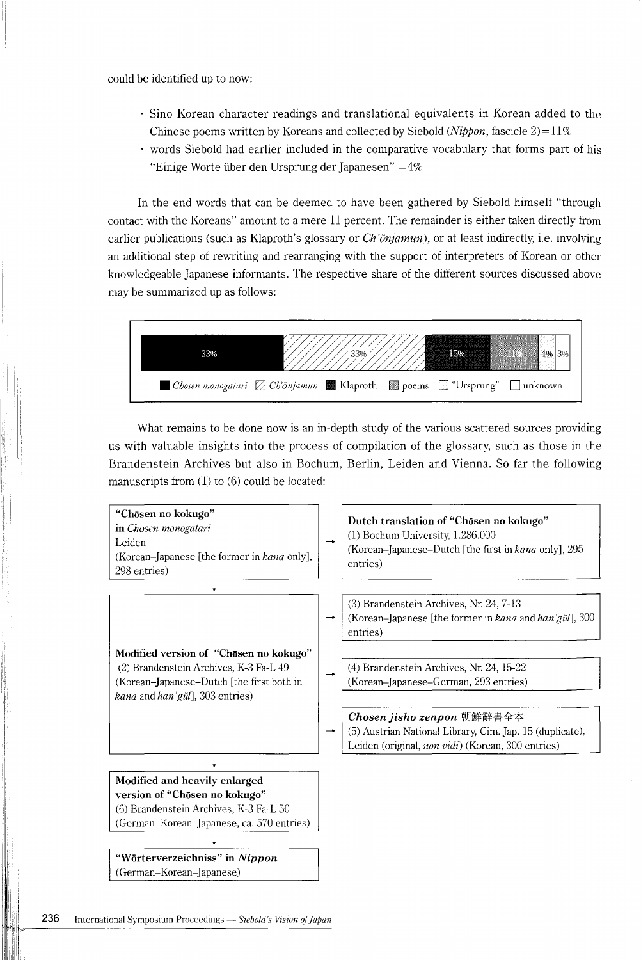could be identified up to now:

I I'

- Sino-Korean character readings and translational equivalents in Korean added to the Chinese poems written by Koreans and collected by Siebold *(Nippon,* fascicle  $2$ )= $11\%$
- words Siebold had earlier included in the comparative vocabulary that forms part of his "Einige Worte iiber den Ursprung der Japanesen" =4%

In the end words that can be deemed to have been gathered by Siebold himself "through contact with the Koreans" amount to a mere 11 percent. The remainder is either taken directly from earlier publications (such as Klaproth's glossary or *Ch'onjamun*), or at least indirectly, i.e. involving an additional step of rewriting and rearranging with the support of interpreters of Korean or other knowledgeable Japanese informants. The respective share of the different sources discussed above may be summarized up as follows:



What remains to be done now is an in-depth study of the various scattered sources providing us with valuable insights into the process of compilation of the glossary, such as those in the Brandenstein Archives but also in Bochum, Berlin, Leiden and Vienna. So far the following manuscripts from (1) to (6) could be located:

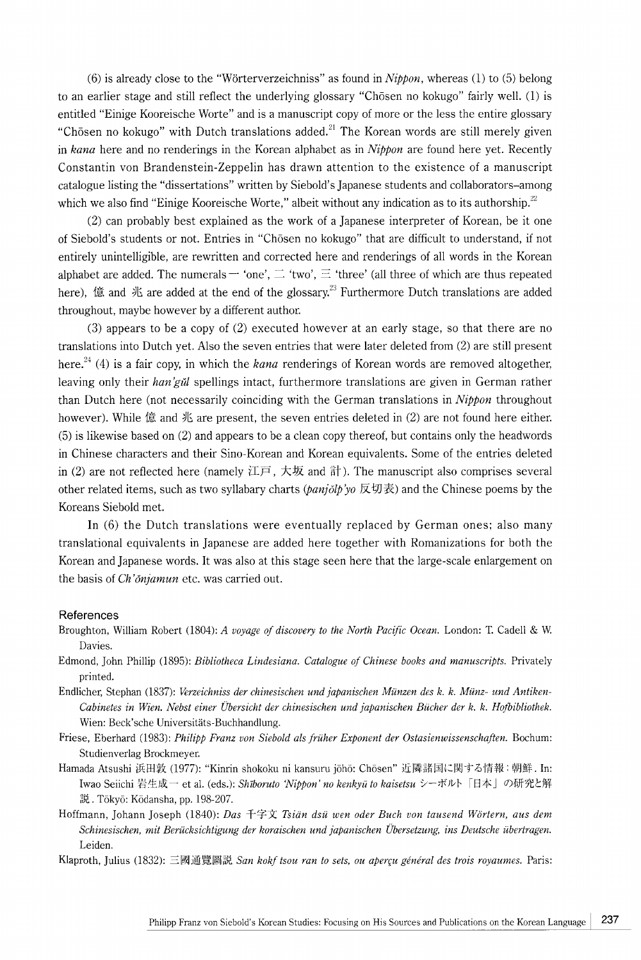(6) is already close to the "Worterverzeichniss" as found in *Nippon,* whereas (1) to (5) belong to an earlier stage and still reflect the underlying glossary "Chosen no kokugo" fairly well. (1) is entitled "Einige Kooreische Worte" and is a manuscript copy of more or the less the entire glossary "Chosen no kokugo" with Dutch translations added.<sup>21</sup> The Korean words are still merely given in *kana* here and no renderings in the Korean alphabet as in *Nippon* are found here yet. Recently Constantin von Brandenstein-Zeppelin has drawn attention to the existence of a manuscript catalogue listing the "dissertations" written by Siebold's Japanese students and collaborators-among which we also find "Einige Kooreische Worte," albeit without any indication as to its authorship. $^{22}$ 

(2) can probably best explained as the work of a Japanese interpreter of Korean, be it one of Siebold's students or not. Entries in "Chosen no kokugo" that are difficult to understand, if not entirely unintelligible, are rewritten and corrected here and renderings of all words in the Korean alphabet are added. The numerals  $-$  'one',  $\equiv$  'two',  $\equiv$  'three' (all three of which are thus repeated here).  $\hat{\mathbb{g}}$  and  $\mathbb{K}$  are added at the end of the glossary.<sup>23</sup> Furthermore Dutch translations are added throughout, maybe however by a different author.

(3) appears to be a copy of (2) executed however at an early stage, so that there are no translations into Dutch yet. Also the seven entries that were later deleted from (2) are still present here.<sup>24</sup> (4) is a fair copy, in which the *kana* renderings of Korean words are removed altogether, leaving only their *han 'giil* spellings intact, furthermore translations are given in German rather than Dutch here (not necessarily coinciding with the German translations in *Nippon* throughout however). While  $\hat{\mathbb{g}}$  and  $\mathbb{K}$  are present, the seven entries deleted in (2) are not found here either. (5) is likewise based on (2) and appears to be a clean copy thereof, but contains only the headwords **in** Chinese characters and their Sino-Korean and Korean equivalents. Some of the entries deleted in (2) are not reflected here (namely 江戸, 大坂 and 計). The manuscript also comprises several other related items, such as two syllabary charts *(panjolp'yo* 反切表) and the Chinese poems by the Koreans Siebold met.

**In** (6) the Dutch translations were eventually replaced by German ones; also many translational equivalents in Japanese are added here together with Romanizations for both the Korean and Japanese words. It was also at this stage seen here that the large-scale enlargement on the basis of *Ch 'onjamun* etc. was carried out.

#### **References**

- Broughton, William Robert (1804): *A voyage of discovery to the North Pacific Ocean.* London: T. Cadell & W. Davies.
- Edmond, John Phillip (1895): *Bibliotheca Lindesiana. Catalogue of Chinese books and manuscripts.* Privately printed.
- Endlicher, Stephan (1837): *Verzeichniss der chinesischen und japanischen Miinzen des k. k. Miinz- und Antiken-Cabinetes in Wien. Nebst einer Ubersicht der chinesischen und japan is chen Bucher der k. k. Hofbibliothek.*  Wien: Beck'sche Universitäts-Buchhandlung.
- Friese, Eberhard (1983): *Philipp Franz von Siebold als friiher Exponent der Ostasienwissenschaften.* Bochum: Studienverlag Brockmeyer.
- Hamada Atsushi 浜田敦 (1977): "Kinrin shokoku ni kansuru jōhō: Chōsen" 近隣諸国に関する情報:朝鮮. In: Iwao Seiichi 岩生成一 et al. (eds.): *Shīboruto 'Nippon' no kenkyū to kaisetsu シ*ーボルト「日本」の研究と解 説. Tōkyō: Kōdansha, pp. 198-207.
- Hoffmann, Johann Joseph (1840): *Das* 千字文 Tsiän dsü wen oder Buch von tausend Wörtern, aus dem *Schinesischen, mit Beriicksichtigung der koraischen und japanischen Ubersetzung, ins Deutsche iibertragen,*  Leiden.
- Klaproth, Julius (1832): 三國通覽圖説 *San kokf tsou ran to sets, ou aperçu général des trois royaumes.* Paris: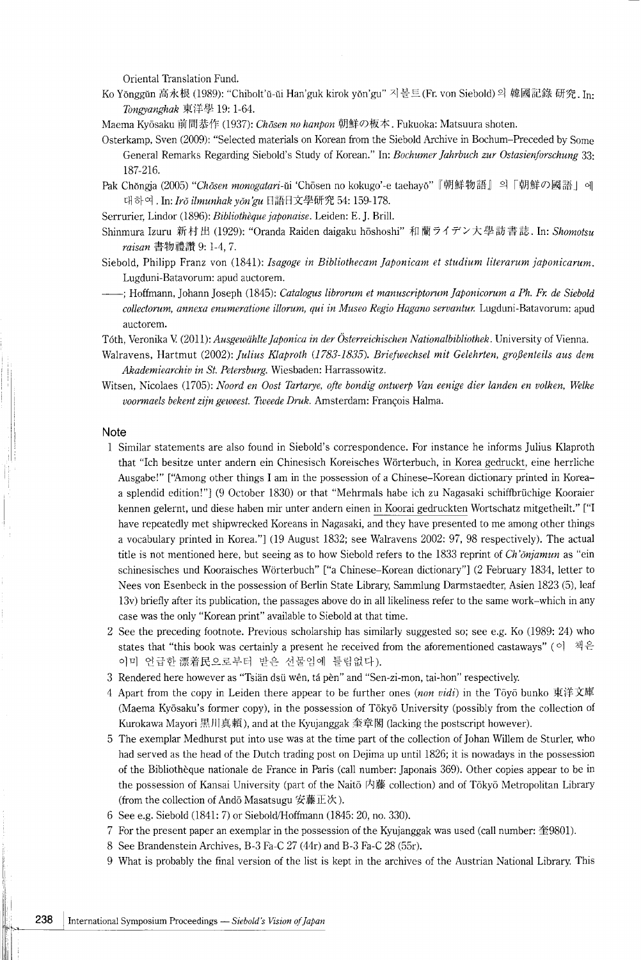Oriental Translation Fund.

Ko Yŏnggŭn 高永根 (1989): "Chibolt'ŭ-ŭi Han'guk kirok yŏn'gu" 지볼트 (Fr. von Siebold) 의 韓國記錄 研究. In: *Tongyanghak* 東洋學 19: 1-64.

Maema Kyōsaku 前間恭作 (1937): *Chōsen no hanpon* 朝鮮の板本. Fukuoka: Matsuura shoten.

- Osterkamp, Sven (2009): "Selected materials on Korean from the Siebold Archive in Bochum-Preceded by Some General Remarks Regarding Siebold's Study of Korean." In: *Bochumer ]ahrbuch zur Ostasienforschung* 33: 187-216.
- Pak Chongja (2005) "Chosen monogatari-ui 'Chosen no kokugo'-e taehayo" 『朝鮮物語』의「朝鮮の國語」에 대하여. In: *Irŏ ilmunhak yŏn'gu* 日語日文學研究 54: 159-178.
- Serrurier, Lindor (1896): *Bibliotheque japonaise.* Leiden: E. J. Brill.
- Shinmura Izuru 新村出 (1929): "Oranda Raiden daigaku hōshoshi" 和蘭ライデン大學訪書誌. In: *Shomotsu raisan* 書物禮讚 9: 1-4, 7.
- Siebold, Philipp Franz von (1841): *Isagoge in Bibliothecam ]aponicam et studium literarum japonicarum.*  Lugduni-Batavorum: apud auctorem.
- --; Hoffmann, Johann Joseph (1845): *Catalogus librorum et manuscriptorum ]aponicorum a Ph. Fr. de Siebold collectorum, annexa enumeratione illorum, qui in Museo Regia Hagano servantur.* Lugduni-Batavorum: apud auctorem.

T6th, Veronika V. (2011): *Ausgewiihlte ]aponica in der Osterreichischen Nationalbibliothek.* University of Vienna.

- Walravens, Hartmut (2002): *Julius Klaproth (1783-1835). Briefwechsel mit Gelehrten, großenteils aus dem Akademiearchiv in St. Petersburg.* Wiesbaden: Harrassowitz.
- Witsen, Nicolaes (1705): *Noord en Oost Tartarye, ofte bondig antwerp Van eenige dier Ianden en volken, Welke*  voormaels bekent zijn geweest. Tweede Druk. Amsterdam: François Halma.

#### **Note**

- 1 Similar statements are also found in Siebold's correspondence. For instance he informs Julius Klaproth that "Ich besitze unter andern ein Chinesisch Koreisches Worterbuch, in Korea gedruckt, eine herrliche Ausgabe!" ["Among other things I am in the possession of a Chinese-Korean dictionary printed in Koreaa splendid edition!") (9 October 1830) or that "Mehrmals habe ich zu Nagasaki schiffbriichige Kooraier kennen gelernt, und diese haben mir unter andern einen in Koorai gedruckten Wortschatz mitgetheilt." ["I have repeatedly met shipwrecked Koreans in Nagasaki, and they have presented to me among other things a vocabulary printed in Korea.") (19 August 1832; see Walravens 2002: 97, 98 respectively). The actual title is not mentioned here, but seeing as to how Siebold refers to the 1833 reprint of *Ch'onjamun* as "ein schinesisches und Kooraisches Worterbuch" ["a Chinese-Korean dictionary"] (2 February 1834, letter to Nees von Esenbeck in the possession of Berlin State Library, Sammlung Darmstaedter, Asien 1823 (5), leaf 13v) briefly after its publication, the passages above do in all likeliness refer to the same work-which in any case was the only "Korean print" available to Siebold at that time.
- 2 See the preceding footnote. Previous scholarship has similarly suggested so; see e.g. Ko (1989: 24) who states that "this book was certainly a present he received from the aforementioned castaways" ( $\circ$ )  $\mathbb{R}^2$ . 이미 언급한 漂着民으로부터 받은 선물임에 틀림없다).
- 3 Rendered here however as "Tsian dsii wen, ta pen" and "Sen-zi-mon, tai-hon" respectively.
- 4 Apart from the copy in Leiden there appear to be further ones *(non vidi)* in the Toyo bunko 東洋文庫 (Maema Kyosaku's former copy), in the possession of Tokyo University (possibly from the collection of Kurokawa Mayori 黒川真頼), and at the Kyujanggak 奎章閣 (lacking the postscript however).
- 5 The exemplar Medhurst put into use was at the time part of the collection of Johan Willem de Sturler, who had served as the head of the Dutch trading post on Dejima up until 1826; it is nowadays in the possession of the Bibliotheque nationale de France in Paris (call number: Japonais 369). Other copies appear to be in the possession of Kansai University (part of the Naitō 内藤 collection) and of Tōkyō Metropolitan Library (from the collection of Andō Masatsugu 安藤正次).
- 6 See e.g. Siebold (1841: 7) or Siebold/Hoffmann (1845: 20, no. 330).
- 7 For the present paper an exemplar in the possession of the Kyujanggak was used (call number:  $\textcircled{\texttt{29801}}$ ).
- 8 See Brandenstein Archives, B-3 Fa-C 27 (44r) and B-3 Fa-C 28 (55r).
- 9 What is probably the final version of the list is kept in the archives of the Austrian National Library. This